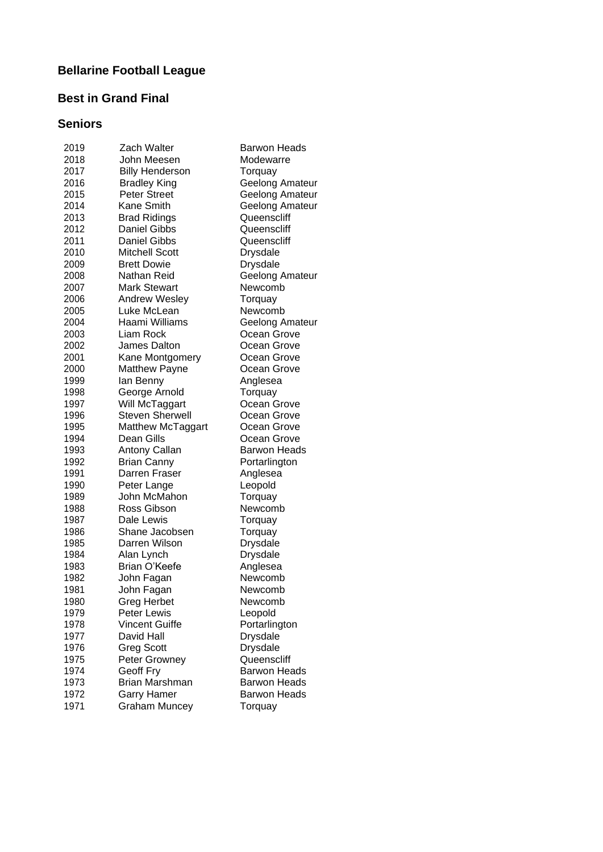# **Bellarine Football League**

## **Best in Grand Final**

#### **Seniors**

| 2019 | Zach Walter            | <b>Barwon Heads</b> |
|------|------------------------|---------------------|
| 2018 | John Meesen            | Modewarre           |
| 2017 | <b>Billy Henderson</b> | Torquay             |
| 2016 | <b>Bradley King</b>    | Geelong Amateur     |
| 2015 | Peter Street           | Geelong Amateur     |
| 2014 | Kane Smith             | Geelong Amateur     |
| 2013 | <b>Brad Ridings</b>    | Queenscliff         |
| 2012 | <b>Daniel Gibbs</b>    | Queenscliff         |
| 2011 | <b>Daniel Gibbs</b>    | Queenscliff         |
| 2010 | <b>Mitchell Scott</b>  | <b>Drysdale</b>     |
| 2009 | <b>Brett Dowie</b>     | <b>Drysdale</b>     |
| 2008 | Nathan Reid            | Geelong Amateur     |
| 2007 | <b>Mark Stewart</b>    | Newcomb             |
| 2006 | <b>Andrew Wesley</b>   | Torquay             |
| 2005 | Luke McLean            | Newcomb             |
| 2004 | Haami Williams         | Geelong Amateur     |
| 2003 | Liam Rock              | Ocean Grove         |
| 2002 | James Dalton           | Ocean Grove         |
| 2001 | Kane Montgomery        | Ocean Grove         |
| 2000 | <b>Matthew Payne</b>   | Ocean Grove         |
| 1999 | lan Benny              | Anglesea            |
| 1998 | George Arnold          | Torquay             |
| 1997 | Will McTaggart         | Ocean Grove         |
| 1996 | <b>Steven Sherwell</b> | Ocean Grove         |
| 1995 | Matthew McTaggart      | Ocean Grove         |
| 1994 | Dean Gills             | Ocean Grove         |
| 1993 | Antony Callan          | <b>Barwon Heads</b> |
| 1992 | <b>Brian Canny</b>     | Portarlington       |
| 1991 | Darren Fraser          | Anglesea            |
| 1990 | Peter Lange            | Leopold             |
| 1989 | John McMahon           | Torquay             |
| 1988 | Ross Gibson            | Newcomb             |
| 1987 | Dale Lewis             | Torquay             |
| 1986 | Shane Jacobsen         | Torquay             |
| 1985 | Darren Wilson          | <b>Drysdale</b>     |
| 1984 | Alan Lynch             | Drysdale            |
| 1983 | Brian O'Keefe          | Anglesea            |
| 1982 | John Fagan             | Newcomb             |
| 1981 | John Fagan             | Newcomb             |
| 1980 | <b>Greg Herbet</b>     | Newcomb             |
| 1979 | Peter Lewis            | Leopold             |
| 1978 | <b>Vincent Guiffe</b>  | Portarlington       |
| 1977 | David Hall             | <b>Drysdale</b>     |
| 1976 | Greg Scott             | <b>Drysdale</b>     |
| 1975 | Peter Growney          | Queenscliff         |
| 1974 | Geoff Fry              | <b>Barwon Heads</b> |
| 1973 | Brian Marshman         | <b>Barwon Heads</b> |
| 1972 | <b>Garry Hamer</b>     | <b>Barwon Heads</b> |
| 1971 | <b>Graham Muncey</b>   | Torquay             |
|      |                        |                     |